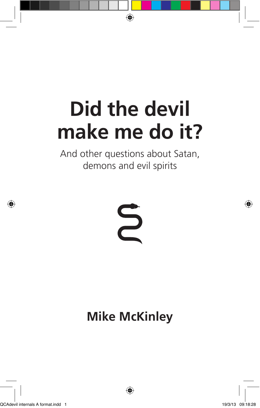# **Did the devil make me do it?**

And other questions about Satan, demons and evil spirits



## **Mike McKinley**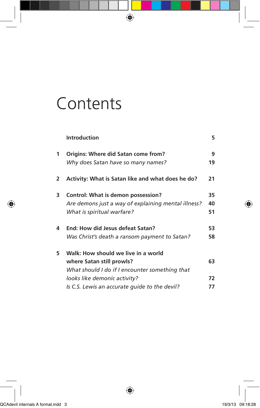## **Contents**

|                | <b>Introduction</b>                                 | 5  |
|----------------|-----------------------------------------------------|----|
| 1              | Origins: Where did Satan come from?                 | 9  |
|                | Why does Satan have so many names?                  | 19 |
| $\overline{2}$ | Activity: What is Satan like and what does he do?   | 21 |
| 3              | Control: What is demon possession?                  | 35 |
|                | Are demons just a way of explaining mental illness? | 40 |
|                | What is spiritual warfare?                          | 51 |
| 4              | End: How did Jesus defeat Satan?                    | 53 |
|                | Was Christ's death a ransom payment to Satan?       | 58 |
| 5              | Walk: How should we live in a world                 |    |
|                | where Satan still prowls?                           | 63 |
|                | What should I do if I encounter something that      |    |
|                | looks like demonic activity?                        | 72 |
|                | Is C.S. Lewis an accurate quide to the devil?       | 77 |
|                |                                                     |    |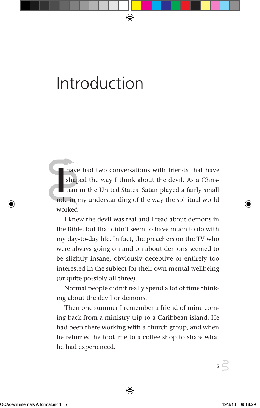## Introduction

have had two conversations with friends that have shaped the way I think about the devil. As a Christian in the United States, Satan played a fairly small role in my understanding of the way the spiritual world worked.

I knew the devil was real and I read about demons in the Bible, but that didn't seem to have much to do with my day-to-day life. In fact, the preachers on the TV who were always going on and on about demons seemed to be slightly insane, obviously deceptive or entirely too interested in the subject for their own mental wellbeing (or quite possibly all three).

Normal people didn't really spend a lot of time thinking about the devil or demons.

Then one summer I remember a friend of mine coming back from a ministry trip to a Caribbean island. He had been there working with a church group, and when he returned he took me to a coffee shop to share what he had experienced.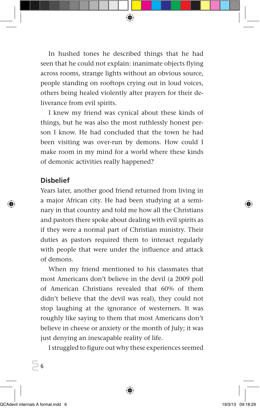In hushed tones he described things that he had seen that he could not explain: inanimate objects flying across rooms, strange lights without an obvious source, people standing on rooftops crying out in loud voices, others being healed violently after prayers for their deliverance from evil spirits.

I knew my friend was cynical about these kinds of things, but he was also the most ruthlessly honest person I know. He had concluded that the town he had been visiting was over-run by demons. How could I make room in my mind for a world where these kinds of demonic activities really happened?

#### **Disbelief**

Years later, another good friend returned from living in a major African city. He had been studying at a seminary in that country and told me how all the Christians and pastors there spoke about dealing with evil spirits as if they were a normal part of Christian ministry. Their duties as pastors required them to interact regularly with people that were under the influence and attack of demons.

When my friend mentioned to his classmates that most Americans don't believe in the devil (a 2009 poll of American Christians revealed that 60% of them didn't believe that the devil was real), they could not stop laughing at the ignorance of westerners. It was roughly like saying to them that most Americans don't believe in cheese or anxiety or the month of July; it was just denying an inescapable reality of life.

I struggled to figure out why these experiences seemed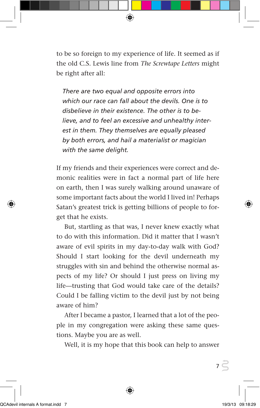to be so foreign to my experience of life. It seemed as if the old C.S. Lewis line from *The Screwtape Letters* might be right after all:

*There are two equal and opposite errors into which our race can fall about the devils. One is to disbelieve in their existence. The other is to believe, and to feel an excessive and unhealthy interest in them. They themselves are equally pleased by both errors, and hail a materialist or magician with the same delight.* 

If my friends and their experiences were correct and demonic realities were in fact a normal part of life here on earth, then I was surely walking around unaware of some important facts about the world I lived in! Perhaps Satan's greatest trick is getting billions of people to forget that he exists.

But, startling as that was, I never knew exactly what to do with this information. Did it matter that I wasn't aware of evil spirits in my day-to-day walk with God? Should I start looking for the devil underneath my struggles with sin and behind the otherwise normal aspects of my life? Or should I just press on living my life—trusting that God would take care of the details? Could I be falling victim to the devil just by not being aware of him?

After I became a pastor, I learned that a lot of the people in my congregation were asking these same questions. Maybe you are as well.

Well, it is my hope that this book can help to answer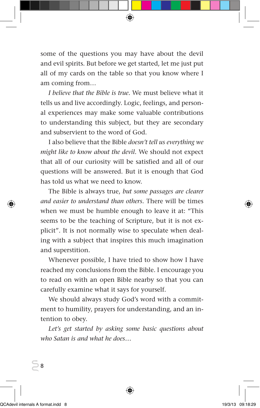some of the questions you may have about the devil and evil spirits. But before we get started, let me just put all of my cards on the table so that you know where I am coming from…

*I believe that the Bible is true.* We must believe what it tells us and live accordingly. Logic, feelings, and personal experiences may make some valuable contributions to understanding this subject, but they are secondary and subservient to the word of God.

I also believe that the Bible *doesn't tell us everything we might like to know about the devil.* We should not expect that all of our curiosity will be satisfied and all of our questions will be answered. But it is enough that God has told us what we need to know.

The Bible is always true, *but some passages are clearer and easier to understand than others.* There will be times when we must be humble enough to leave it at: "This seems to be the teaching of Scripture, but it is not explicit". It is not normally wise to speculate when dealing with a subject that inspires this much imagination and superstition.

Whenever possible, I have tried to show how I have reached my conclusions from the Bible. I encourage you to read on with an open Bible nearby so that you can carefully examine what it says for yourself.

We should always study God's word with a commitment to humility, prayers for understanding, and an intention to obey.

*Let's get started by asking some basic questions about who Satan is and what he does…*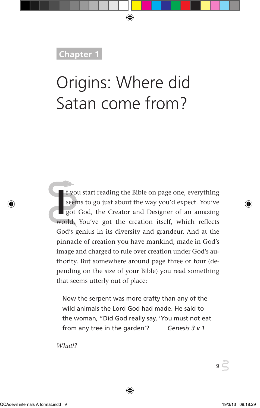### **Chapter 1**

## Origins: Where did Satan come from?

**I** f you start reading the Bible on page one, everything seems to go just about the way you'd expect. You've got God, the Creator and Designer of an amazing world. You've got the creation itself, which reflects f you start reading the Bible on page one, everything seems to go just about the way you'd expect. You've got God, the Creator and Designer of an amazing God's genius in its diversity and grandeur. And at the pinnacle of creation you have mankind, made in God's image and charged to rule over creation under God's authority. But somewhere around page three or four (depending on the size of your Bible) you read something that seems utterly out of place:

Now the serpent was more crafty than any of the wild animals the Lord God had made. He said to the woman, "Did God really say, 'You must not eat from any tree in the garden'? *Genesis 3 v 1*

*What!?*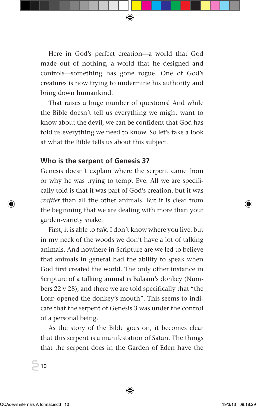Here in God's perfect creation—a world that God made out of nothing, a world that he designed and controls—something has gone rogue. One of God's creatures is now trying to undermine his authority and bring down humankind.

That raises a huge number of questions! And while the Bible doesn't tell us everything we might want to know about the devil, we can be confident that God has told us everything we need to know. So let's take a look at what the Bible tells us about this subject.

#### **Who is the serpent of Genesis 3?**

Genesis doesn't explain where the serpent came from or why he was trying to tempt Eve. All we are specifically told is that it was part of God's creation, but it was *craftier* than all the other animals. But it is clear from the beginning that we are dealing with more than your garden-variety snake.

First, it is able to *talk*. I don't know where you live, but in my neck of the woods we don't have a lot of talking animals. And nowhere in Scripture are we led to believe that animals in general had the ability to speak when God first created the world. The only other instance in Scripture of a talking animal is Balaam's donkey (Numbers 22 v 28), and there we are told specifically that "the LORD opened the donkey's mouth". This seems to indicate that the serpent of Genesis 3 was under the control of a personal being.

As the story of the Bible goes on, it becomes clear that this serpent is a manifestation of Satan. The things that the serpent does in the Garden of Eden have the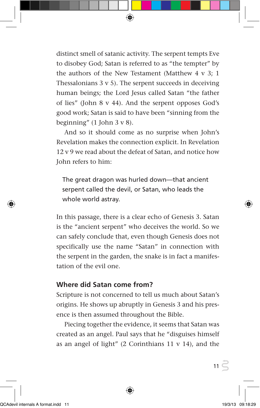distinct smell of satanic activity. The serpent tempts Eve to disobey God; Satan is referred to as "the tempter" by the authors of the New Testament (Matthew 4 v 3; 1 Thessalonians  $3 \times 5$ ). The serpent succeeds in deceiving human beings; the Lord Jesus called Satan "the father of lies" (John 8 v 44). And the serpent opposes God's good work; Satan is said to have been "sinning from the beginning"  $(1$  John 3 v 8).

And so it should come as no surprise when John's Revelation makes the connection explicit. In Revelation 12 v 9 we read about the defeat of Satan, and notice how John refers to him:

The great dragon was hurled down—that ancient serpent called the devil, or Satan, who leads the whole world astray.

In this passage, there is a clear echo of Genesis 3. Satan is the "ancient serpent" who deceives the world. So we can safely conclude that, even though Genesis does not specifically use the name "Satan" in connection with the serpent in the garden, the snake is in fact a manifestation of the evil one.

#### **Where did Satan come from?**

Scripture is not concerned to tell us much about Satan's origins. He shows up abruptly in Genesis 3 and his presence is then assumed throughout the Bible.

Piecing together the evidence, it seems that Satan was created as an angel. Paul says that he "disguises himself as an angel of light" (2 Corinthians 11 v 14), and the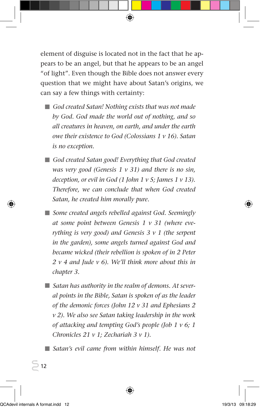element of disguise is located not in the fact that he appears to be an angel, but that he appears to be an angel "of light". Even though the Bible does not answer every question that we might have about Satan's origins, we can say a few things with certainty:

- *God created Satan! Nothing exists that was not made by God. God made the world out of nothing, and so all creatures in heaven, on earth, and under the earth owe their existence to God (Colossians 1 v 16). Satan is no exception.*
- God created Satan good! Everything that God created *was very good (Genesis 1 v 31) and there is no sin, deception, or evil in God (1 John 1 v 5; James 1 v 13). Therefore, we can conclude that when God created Satan, he created him morally pure.*
- *Some created angels rebelled against God. Seemingly at some point between Genesis 1 v 31 (where everything is very good) and Genesis 3 v 1 (the serpent in the garden), some angels turned against God and became wicked (their rebellion is spoken of in 2 Peter 2 v 4 and Jude v 6). We'll think more about this in chapter 3.*
- *Satan has authority in the realm of demons. At several points in the Bible, Satan is spoken of as the leader of the demonic forces (John 12 v 31 and Ephesians 2 v 2). We also see Satan taking leadership in the work of attacking and tempting God's people (Job 1 v 6; 1 Chronicles 21 v 1; Zechariah 3 v 1).*

■ Satan's evil came from within himself. He was not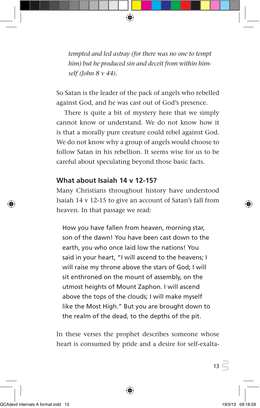*tempted and led astray (for there was no one to tempt him) but he produced sin and deceit from within himself (John 8 v 44).* 

So Satan is the leader of the pack of angels who rebelled against God, and he was cast out of God's presence.

There is quite a bit of mystery here that we simply cannot know or understand. We do not know how it is that a morally pure creature could rebel against God. We do not know why a group of angels would choose to follow Satan in his rebellion. It seems wise for us to be careful about speculating beyond those basic facts.

#### **What about Isaiah 14 v 12-15?**

Many Christians throughout history have understood Isaiah 14 v 12-15 to give an account of Satan's fall from heaven. In that passage we read:

How you have fallen from heaven, morning star, son of the dawn! You have been cast down to the earth, you who once laid low the nations! You said in your heart, "I will ascend to the heavens; I will raise my throne above the stars of God; I will sit enthroned on the mount of assembly, on the utmost heights of Mount Zaphon. I will ascend above the tops of the clouds; I will make myself like the Most High." But you are brought down to the realm of the dead, to the depths of the pit.

In these verses the prophet describes someone whose heart is consumed by pride and a desire for self-exalta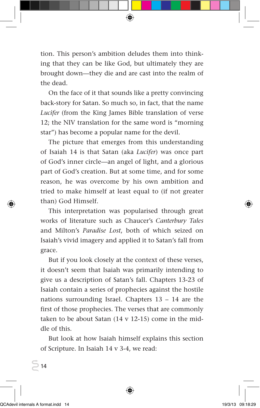tion. This person's ambition deludes them into thinking that they can be like God, but ultimately they are brought down—they die and are cast into the realm of the dead.

On the face of it that sounds like a pretty convincing back-story for Satan. So much so, in fact, that the name *Lucifer* (from the King James Bible translation of verse 12; the NIV translation for the same word is "morning star") has become a popular name for the devil.

The picture that emerges from this understanding of Isaiah 14 is that Satan (aka *Lucifer*) was once part of God's inner circle—an angel of light, and a glorious part of God's creation. But at some time, and for some reason, he was overcome by his own ambition and tried to make himself at least equal to (if not greater than) God Himself.

This interpretation was popularised through great works of literature such as Chaucer's *Canterbury Tales* and Milton's *Paradise Lost*, both of which seized on Isaiah's vivid imagery and applied it to Satan's fall from grace.

But if you look closely at the context of these verses, it doesn't seem that Isaiah was primarily intending to give us a description of Satan's fall. Chapters 13-23 of Isaiah contain a series of prophecies against the hostile nations surrounding Israel. Chapters 13 – 14 are the first of those prophecies. The verses that are commonly taken to be about Satan  $(14 \text{ v } 12{\text -}15)$  come in the middle of this.

But look at how Isaiah himself explains this section of Scripture. In Isaiah 14 v 3-4, we read: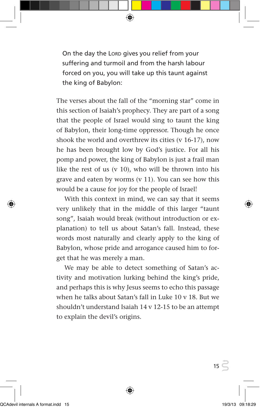On the day the LORD gives you relief from your suffering and turmoil and from the harsh labour forced on you, you will take up this taunt against the king of Babylon:

The verses about the fall of the "morning star" come in this section of Isaiah's prophecy. They are part of a song that the people of Israel would sing to taunt the king of Babylon, their long-time oppressor. Though he once shook the world and overthrew its cities (v 16-17), now he has been brought low by God's justice. For all his pomp and power, the king of Babylon is just a frail man like the rest of us  $(v 10)$ , who will be thrown into his grave and eaten by worms (v 11). You can see how this would be a cause for joy for the people of Israel!

With this context in mind, we can say that it seems very unlikely that in the middle of this larger "taunt song", Isaiah would break (without introduction or explanation) to tell us about Satan's fall. Instead, these words most naturally and clearly apply to the king of Babylon, whose pride and arrogance caused him to forget that he was merely a man.

We may be able to detect something of Satan's activity and motivation lurking behind the king's pride, and perhaps this is why Jesus seems to echo this passage when he talks about Satan's fall in Luke 10 v 18. But we shouldn't understand Isaiah 14 v 12-15 to be an attempt to explain the devil's origins.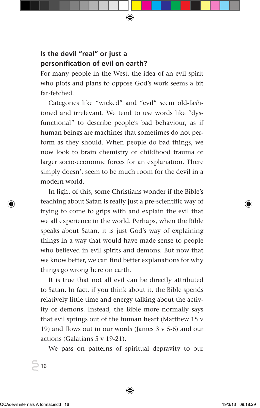#### **Is the devil "real" or just a personification of evil on earth?**

For many people in the West, the idea of an evil spirit who plots and plans to oppose God's work seems a bit far-fetched.

Categories like "wicked" and "evil" seem old-fashioned and irrelevant. We tend to use words like "dysfunctional" to describe people's bad behaviour, as if human beings are machines that sometimes do not perform as they should. When people do bad things, we now look to brain chemistry or childhood trauma or larger socio-economic forces for an explanation. There simply doesn't seem to be much room for the devil in a modern world.

In light of this, some Christians wonder if the Bible's teaching about Satan is really just a pre-scientific way of trying to come to grips with and explain the evil that we all experience in the world. Perhaps, when the Bible speaks about Satan, it is just God's way of explaining things in a way that would have made sense to people who believed in evil spirits and demons. But now that we know better, we can find better explanations for why things go wrong here on earth.

It is true that not all evil can be directly attributed to Satan. In fact, if you think about it, the Bible spends relatively little time and energy talking about the activity of demons. Instead, the Bible more normally says that evil springs out of the human heart (Matthew 15 v 19) and flows out in our words (James 3 v 5-6) and our actions (Galatians 5 v 19-21).

We pass on patterns of spiritual depravity to our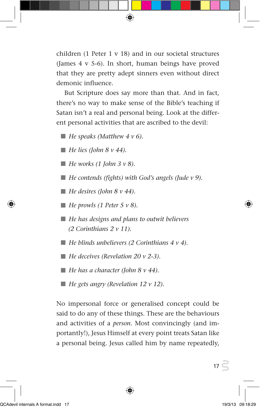children (1 Peter 1 v 18) and in our societal structures (James 4 v 5-6). In short, human beings have proved that they are pretty adept sinners even without direct demonic influence.

But Scripture does say more than that. And in fact, there's no way to make sense of the Bible's teaching if Satan isn't a real and personal being. Look at the different personal activities that are ascribed to the devil:

 $\blacksquare$  *He speaks (Matthew 4 v 6).* 

 $\blacksquare$  *He lies (John 8 v 44).* 

- $\blacksquare$  *He works (1 John 3 v 8).*
- *He contends (fights) with God's angels (Jude v 9).*

 $\blacksquare$  *He desires (John 8 v 44).* 

 $\blacksquare$  *He prowls (1 Peter 5 v 8).* 

- *He has designs and plans to outwit believers (2 Corinthians 2 v 11).*
- $\blacksquare$  *He blinds unbelievers (2 Corinthians 4 v 4).*
- *He deceives (Revelation 20 v 2-3).*
- $\blacksquare$  *He has a character (John 8 v 44).*
- *He gets angry (Revelation 12 v 12).*

No impersonal force or generalised concept could be said to do any of these things. These are the behaviours and activities of a *person*. Most convincingly (and importantly!), Jesus Himself at every point treats Satan like a personal being. Jesus called him by name repeatedly,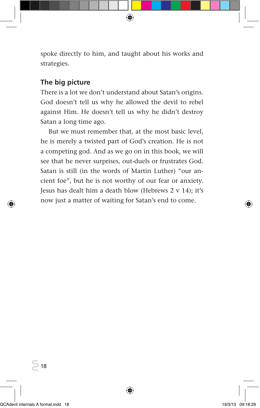spoke directly to him, and taught about his works and strategies.

#### **The big picture**

There is a lot we don't understand about Satan's origins. God doesn't tell us why he allowed the devil to rebel against Him. He doesn't tell us why he didn't destroy Satan a long time ago.

But we must remember that, at the most basic level, he is merely a twisted part of God's creation. He is not a competing god. And as we go on in this book, we will see that he never surprises, out-duels or frustrates God. Satan is still (in the words of Martin Luther) "our ancient foe", but he is not worthy of our fear or anxiety. Jesus has dealt him a death blow (Hebrews 2 v 14); it's now just a matter of waiting for Satan's end to come.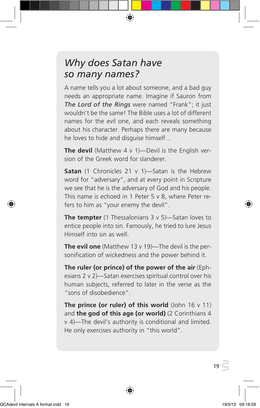### *Why does Satan have so many names?*

A name tells you a lot about someone, and a bad guy needs an appropriate name. Imagine if Sauron from *The Lord of the Rings* were named "Frank"; it just wouldn't be the same! The Bible uses a lot of different names for the evil one, and each reveals something about his character. Perhaps there are many because he loves to hide and disguise himself…

**The devil** (Matthew 4 v 1)—Devil is the English version of the Greek word for slanderer.

**Satan** (1 Chronicles 21 v 1)-Satan is the Hebrew word for "adversary", and at every point in Scripture we see that he is the adversary of God and his people. This name is echoed in 1 Peter 5 v 8, where Peter refers to him as "your enemy the devil".

**The tempter** (1 Thessalonians 3 v 5)-Satan loves to entice people into sin. Famously, he tried to lure Jesus Himself into sin as well.

**The evil one** (Matthew 13 v 19)—The devil is the personification of wickedness and the power behind it.

**The ruler (or prince) of the power of the air** (Ephesians 2 v 2)—Satan exercises spiritual control over his human subjects, referred to later in the verse as the "sons of disobedience".

**The prince (or ruler) of this world** (John 16 v 11) and **the god of this age (or world)** (2 Corinthians 4 v 4)—The devil's authority is conditional and limited. He only exercises authority in "this world".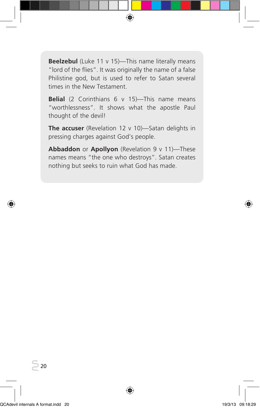**Beelzebul** (Luke 11 v 15)-This name literally means "lord of the flies". It was originally the name of a false Philistine god, but is used to refer to Satan several times in the New Testament.

**Belial** (2 Corinthians 6 v 15)—This name means "worthlessness". It shows what the apostle Paul thought of the devil!

**The accuser** (Revelation 12 v 10)—Satan delights in pressing charges against God's people.

**Abbaddon** or **Apollyon** (Revelation 9 v 11)—These names means "the one who destroys". Satan creates nothing but seeks to ruin what God has made.